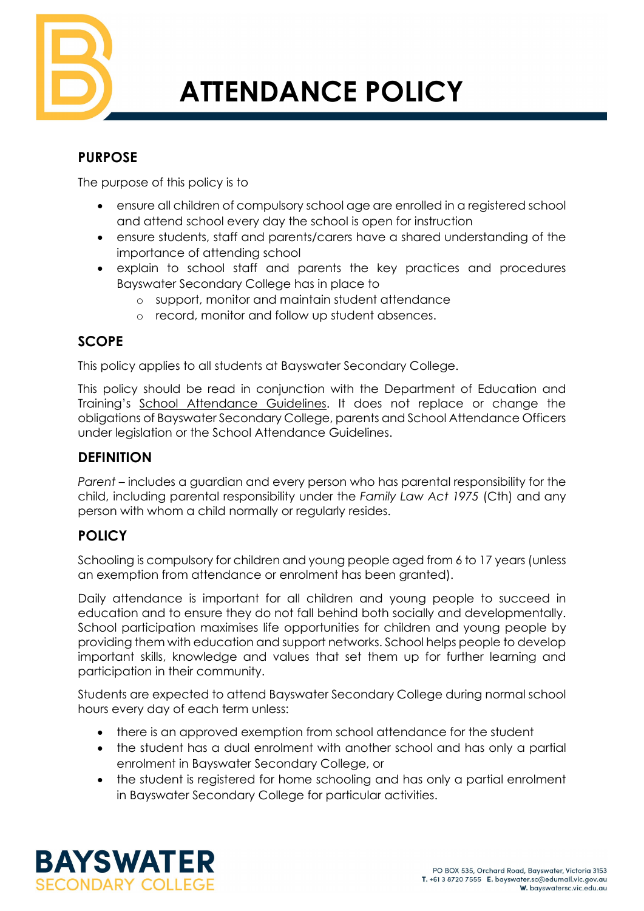

# **ATTENDANCE POLICY**

# **PURPOSE**

The purpose of this policy is to

- ensure all children of compulsory school age are enrolled in a registered school and attend school every day the school is open for instruction
- ensure students, staff and parents/carers have a shared understanding of the importance of attending school
- explain to school staff and parents the key practices and procedures Bayswater Secondary College has in place to
	- o support, monitor and maintain student attendance
	- o record, monitor and follow up student absences.

# **SCOPE**

This policy applies to all students at Bayswater Secondary College.

This policy should be read in conjunction with the Department of Education and Training's [School Attendance Guidelines.](https://www2.education.vic.gov.au/pal/attendance/guidance) It does not replace or change the obligations of Bayswater Secondary College, parents and School Attendance Officers under legislation or the School Attendance Guidelines.

# **DEFINITION**

*Parent* – includes a guardian and every person who has parental responsibility for the child, including parental responsibility under the *Family Law Act 1975* (Cth) and any person with whom a child normally or regularly resides.

## **POLICY**

Schooling is compulsory for children and young people aged from 6 to 17 years (unless an exemption from attendance or enrolment has been granted).

Daily attendance is important for all children and young people to succeed in education and to ensure they do not fall behind both socially and developmentally. School participation maximises life opportunities for children and young people by providing them with education and support networks. School helps people to develop important skills, knowledge and values that set them up for further learning and participation in their community.

Students are expected to attend Bayswater Secondary College during normal school hours every day of each term unless:

- there is an approved exemption from school attendance for the student
- the student has a dual enrolment with another school and has only a partial enrolment in Bayswater Secondary College, or
- the student is registered for home schooling and has only a partial enrolment in Bayswater Secondary College for particular activities.

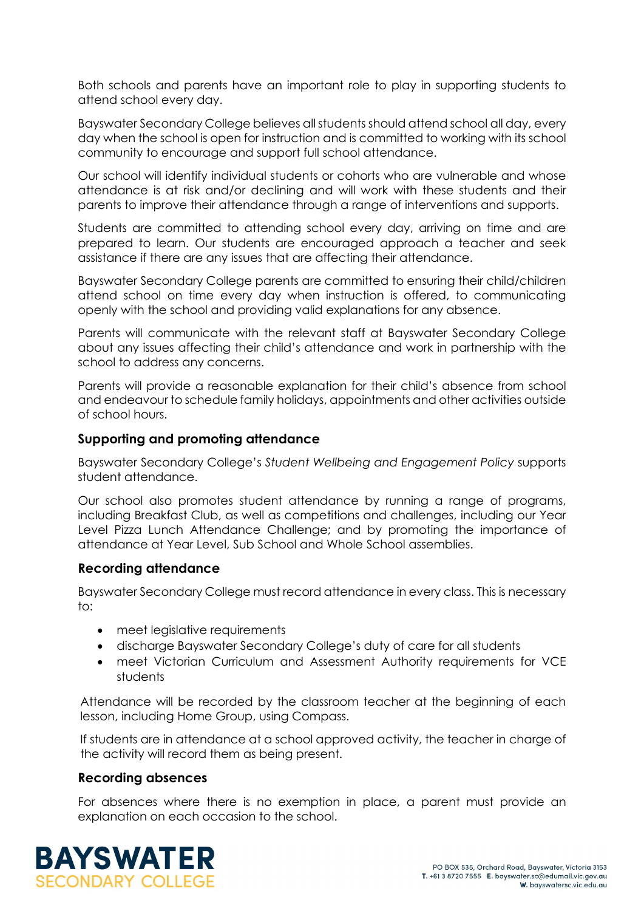Both schools and parents have an important role to play in supporting students to attend school every day.

Bayswater Secondary College believes all students should attend school all day, every day when the school is open for instruction and is committed to working with its school community to encourage and support full school attendance.

Our school will identify individual students or cohorts who are vulnerable and whose attendance is at risk and/or declining and will work with these students and their parents to improve their attendance through a range of interventions and supports.

Students are committed to attending school every day, arriving on time and are prepared to learn. Our students are encouraged approach a teacher and seek assistance if there are any issues that are affecting their attendance.

Bayswater Secondary College parents are committed to ensuring their child/children attend school on time every day when instruction is offered, to communicating openly with the school and providing valid explanations for any absence.

Parents will communicate with the relevant staff at Bayswater Secondary College about any issues affecting their child's attendance and work in partnership with the school to address any concerns.

Parents will provide a reasonable explanation for their child's absence from school and endeavour to schedule family holidays, appointments and other activities outside of school hours.

#### **Supporting and promoting attendance**

Bayswater Secondary College's *Student Wellbeing and Engagement Policy* supports student attendance.

Our school also promotes student attendance by running a range of programs, including Breakfast Club, as well as competitions and challenges, including our Year Level Pizza Lunch Attendance Challenge; and by promoting the importance of attendance at Year Level, Sub School and Whole School assemblies.

#### **Recording attendance**

Bayswater Secondary College must record attendance in every class. This is necessary to:

- meet legislative requirements
- discharge Bayswater Secondary College's duty of care for all students
- meet Victorian Curriculum and Assessment Authority requirements for VCE students

Attendance will be recorded by the classroom teacher at the beginning of each lesson, including Home Group, using Compass.

If students are in attendance at a school approved activity, the teacher in charge of the activity will record them as being present.

#### **Recording absences**

For absences where there is no exemption in place, a parent must provide an explanation on each occasion to the school.

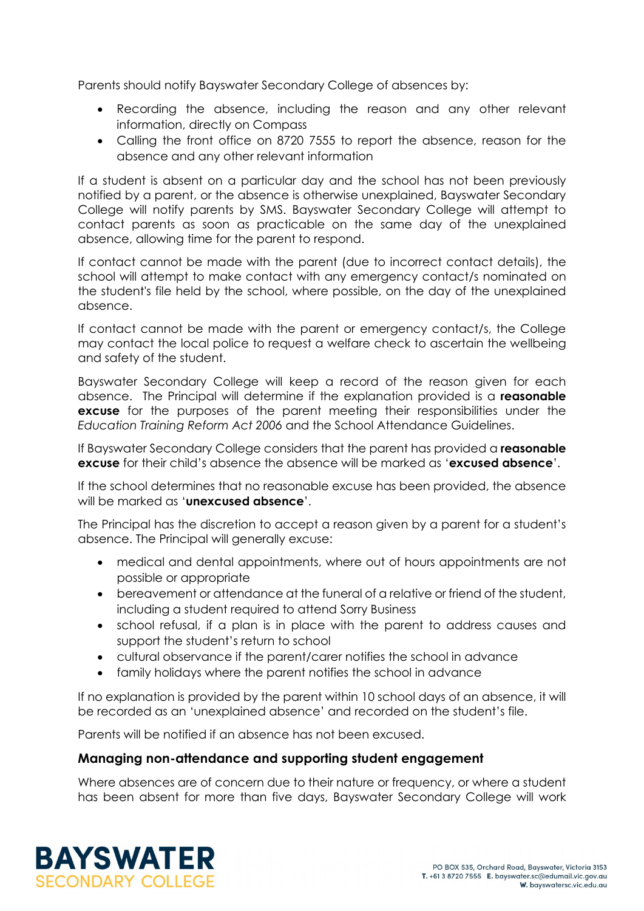Parents should notify Bayswater Secondary College of absences by:

- Recording the absence, including the reason and any other relevant information, directly on Compass
- Calling the front office on 8720 7555 to report the absence, reason for the absence and any other relevant information

If a student is absent on a particular day and the school has not been previously notified by a parent, or the absence is otherwise unexplained, Bayswater Secondary College will notify parents by SMS. Bayswater Secondary College will attempt to contact parents as soon as practicable on the same day of the unexplained absence, allowing time for the parent to respond.

If contact cannot be made with the parent (due to incorrect contact details), the school will attempt to make contact with any emergency contact/s nominated on the student's file held by the school, where possible, on the day of the unexplained absence.

If contact cannot be made with the parent or emergency contact/s, the College may contact the local police to request a welfare check to ascertain the wellbeing and safety of the student.

Bayswater Secondary College will keep a record of the reason given for each absence. The Principal will determine if the explanation provided is a **reasonable excuse** for the purposes of the parent meeting their responsibilities under the *Education Training Reform Act 2006* and the School Attendance Guidelines.

If Bayswater Secondary College considers that the parent has provided a **reasonable excuse** for their child's absence the absence will be marked as '**excused absence**'.

If the school determines that no reasonable excuse has been provided, the absence will be marked as '**unexcused absence**'.

The Principal has the discretion to accept a reason given by a parent for a student's absence. The Principal will generally excuse:

- medical and dental appointments, where out of hours appointments are not possible or appropriate
- bereavement or attendance at the funeral of a relative or friend of the student, including a student required to attend Sorry Business
- school refusal, if a plan is in place with the parent to address causes and support the student's return to school
- cultural observance if the parent/carer notifies the school in advance
- family holidays where the parent notifies the school in advance

If no explanation is provided by the parent within 10 school days of an absence, it will be recorded as an 'unexplained absence' and recorded on the student's file.

Parents will be notified if an absence has not been excused.

## **Managing non-attendance and supporting student engagement**

Where absences are of concern due to their nature or frequency, or where a student has been absent for more than five days, Bayswater Secondary College will work

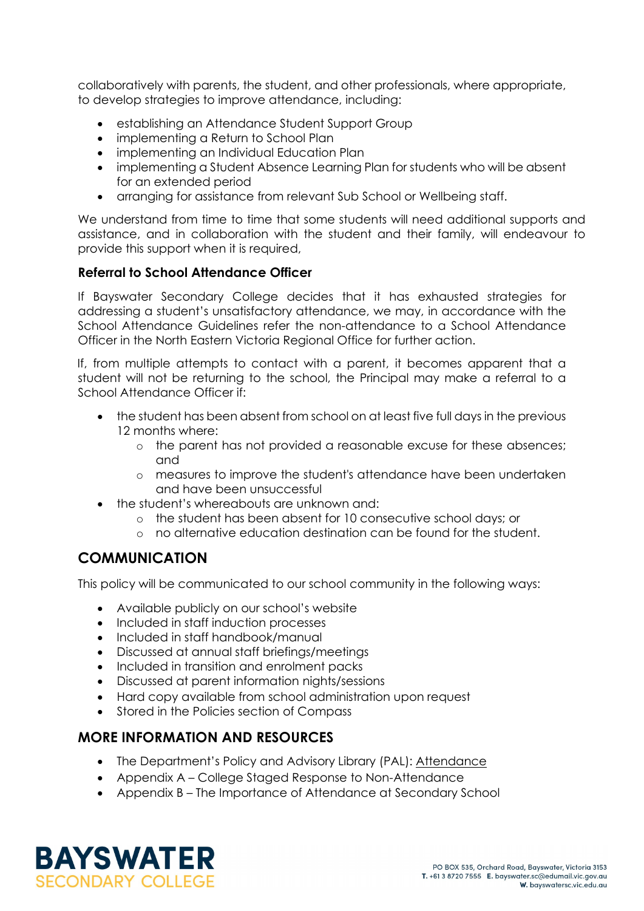collaboratively with parents, the student, and other professionals, where appropriate, to develop strategies to improve attendance, including:

- establishing an Attendance Student Support Group
- implementing a Return to School Plan
- implementing an Individual Education Plan
- implementing a Student Absence Learning Plan for students who will be absent for an extended period
- arranging for assistance from relevant Sub School or Wellbeing staff.

We understand from time to time that some students will need additional supports and assistance, and in collaboration with the student and their family, will endeavour to provide this support when it is required,

## **Referral to School Attendance Officer**

If Bayswater Secondary College decides that it has exhausted strategies for addressing a student's unsatisfactory attendance, we may, in accordance with the School Attendance Guidelines refer the non-attendance to a School Attendance Officer in the North Eastern Victoria Regional Office for further action.

If, from multiple attempts to contact with a parent, it becomes apparent that a student will not be returning to the school, the Principal may make a referral to a School Attendance Officer if:

- the student has been absent from school on at least five full days in the previous 12 months where:
	- o the parent has not provided a reasonable excuse for these absences; and
	- o measures to improve the student's attendance have been undertaken and have been unsuccessful
- the student's whereabouts are unknown and:
	- o the student has been absent for 10 consecutive school days; or
	- o no alternative education destination can be found for the student.

## **COMMUNICATION**

This policy will be communicated to our school community in the following ways:

- Available publicly on our school's website
- Included in staff induction processes
- Included in staff handbook/manual
- Discussed at annual staff briefings/meetings
- Included in transition and enrolment packs
- Discussed at parent information nights/sessions
- Hard copy available from school administration upon request
- Stored in the Policies section of Compass

## **MORE INFORMATION AND RESOURCES**

- The Department's Policy and Advisory Library (PAL): [Attendance](https://www2.education.vic.gov.au/pal/attendance/policy)
- Appendix A College Staged Response to Non-Attendance
- Appendix B The Importance of Attendance at Secondary School